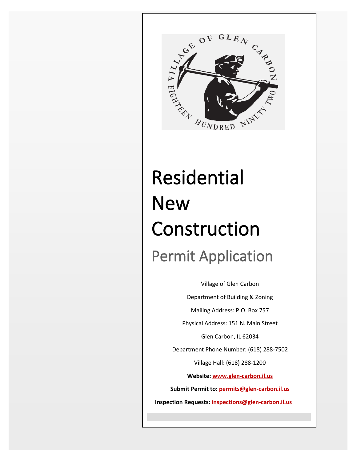

# Residential **New** Construction Permit Application

Village of Glen Carbon Department of Building & Zoning Mailing Address: P.O. Box 757 Physical Address: 151 N. Main Street Glen Carbon, IL 62034 Department Phone Number: (618) 288-7502 Village Hall: (618) 288-1200 **Website: [www.glen-carbon.il.us](http://www.glen-carbon.il.usv/) Submit Permit to: [permits@glen-carbon.il.us](mailto:permits@glen-carbon.il.us) Inspection Requests: [inspections@glen-carbon.il.us](mailto:inspections@glen-carbon.il.usv)**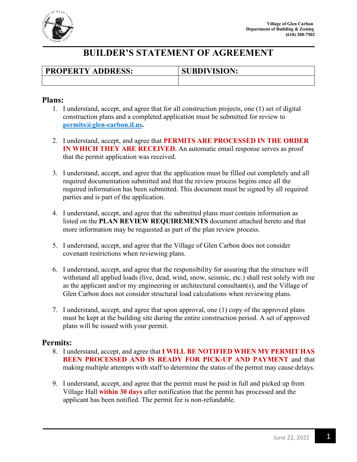

### **BUILDER'S STATEMENT OF AGREEMENT**

| <b>PROPERTY ADDRESS:</b> | <b>SUBDIVISION:</b> |
|--------------------------|---------------------|
|                          |                     |

#### **Plans:**

- 1. I understand, accept, and agree that for all construction projects, one (1) set of digital construction plans and a completed application must be submitted for review to **[permits@glen-carbon.il.us.](mailto:permits@glen-carbon.il.us)**
- 2. I understand, accept, and agree that **PERMITS ARE PROCESSED IN THE ORDER IN WHICH THEY ARE RECEIVED.** An automatic email response serves as proof that the permit application was received.
- 3. I understand, accept, and agree that the application must be filled out completely and all required documentation submitted and that the review process begins once all the required information has been submitted. This document must be signed by all required parties and is part of the application.
- 4. I understand, accept, and agree that the submitted plans must contain information as listed on the **PLAN REVIEW REQUIREMENTS** document attached hereto and that more information may be requested as part of the plan review process.
- 5. I understand, accept, and agree that the Village of Glen Carbon does not consider covenant restrictions when reviewing plans.
- 6. I understand, accept, and agree that the responsibility for assuring that the structure will withstand all applied loads (live, dead, wind, snow, seismic, etc.) shall rest solely with me as the applicant and/or my engineering or architectural consultant(s), and the Village of Glen Carbon does not consider structural load calculations when reviewing plans.
- 7. I understand, accept, and agree that upon approval, one (1) copy of the approved plans must be kept at the building site during the entire construction period. A set of approved plans will be issued with your permit.

#### **Permits:**

- 8. I understand, accept, and agree that **I WILL BE NOTIFIED WHEN MY PERMIT HAS BEEN PROCESSED AND IS READY FOR PICK-UP AND PAYMENT** and that making multiple attempts with staff to determine the status of the permit may cause delays.
- 9. I understand, accept, and agree that the permit must be paid in full and picked up from Village Hall **within 30 days** after notification that the permit has processed and the applicant has been notified. The permit fee is non-refundable.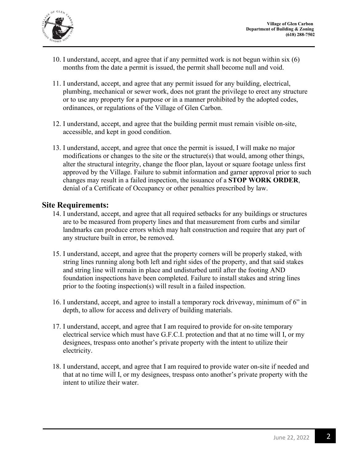

- 10. I understand, accept, and agree that if any permitted work is not begun within six (6) months from the date a permit is issued, the permit shall become null and void.
- 11. I understand, accept, and agree that any permit issued for any building, electrical, plumbing, mechanical or sewer work, does not grant the privilege to erect any structure or to use any property for a purpose or in a manner prohibited by the adopted codes, ordinances, or regulations of the Village of Glen Carbon.
- 12. I understand, accept, and agree that the building permit must remain visible on-site, accessible, and kept in good condition.
- 13. I understand, accept, and agree that once the permit is issued, I will make no major modifications or changes to the site or the structure(s) that would, among other things, alter the structural integrity, change the floor plan, layout or square footage unless first approved by the Village. Failure to submit information and garner approval prior to such changes may result in a failed inspection, the issuance of a **STOP WORK ORDER**, denial of a Certificate of Occupancy or other penalties prescribed by law.

#### **Site Requirements:**

- 14. I understand, accept, and agree that all required setbacks for any buildings or structures are to be measured from property lines and that measurement from curbs and similar landmarks can produce errors which may halt construction and require that any part of any structure built in error, be removed.
- 15. I understand, accept, and agree that the property corners will be properly staked, with string lines running along both left and right sides of the property, and that said stakes and string line will remain in place and undisturbed until after the footing AND foundation inspections have been completed. Failure to install stakes and string lines prior to the footing inspection(s) will result in a failed inspection.
- 16. I understand, accept, and agree to install a temporary rock driveway, minimum of 6" in depth, to allow for access and delivery of building materials.
- 17. I understand, accept, and agree that I am required to provide for on-site temporary electrical service which must have G.F.C.I. protection and that at no time will I, or my designees, trespass onto another's private property with the intent to utilize their electricity.
- 18. I understand, accept, and agree that I am required to provide water on-site if needed and that at no time will I, or my designees, trespass onto another's private property with the intent to utilize their water.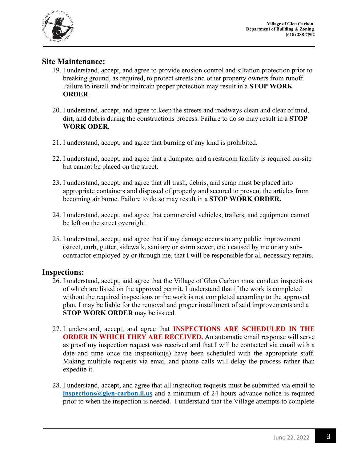

#### **Site Maintenance:**

- 19. I understand, accept, and agree to provide erosion control and siltation protection prior to breaking ground, as required, to protect streets and other property owners from runoff. Failure to install and/or maintain proper protection may result in a **STOP WORK ORDER**.
- 20. I understand, accept, and agree to keep the streets and roadways clean and clear of mud, dirt, and debris during the constructions process. Failure to do so may result in a **STOP WORK ODER**.
- 21. I understand, accept, and agree that burning of any kind is prohibited.
- 22. I understand, accept, and agree that a dumpster and a restroom facility is required on-site but cannot be placed on the street.
- 23. I understand, accept, and agree that all trash, debris, and scrap must be placed into appropriate containers and disposed of properly and secured to prevent the articles from becoming air borne. Failure to do so may result in a **STOP WORK ORDER.**
- 24. I understand, accept, and agree that commercial vehicles, trailers, and equipment cannot be left on the street overnight.
- 25. I understand, accept, and agree that if any damage occurs to any public improvement (street, curb, gutter, sidewalk, sanitary or storm sewer, etc.) caused by me or any subcontractor employed by or through me, that I will be responsible for all necessary repairs.

#### **Inspections:**

- 26. I understand, accept, and agree that the Village of Glen Carbon must conduct inspections of which are listed on the approved permit. I understand that if the work is completed without the required inspections or the work is not completed according to the approved plan, I may be liable for the removal and proper installment of said improvements and a **STOP WORK ORDER** may be issued.
- 27. I understand, accept, and agree that **INSPECTIONS ARE SCHEDULED IN THE ORDER IN WHICH THEY ARE RECEIVED.** An automatic email response will serve as proof my inspection request was received and that I will be contacted via email with a date and time once the inspection(s) have been scheduled with the appropriate staff. Making multiple requests via email and phone calls will delay the process rather than expedite it.
- 28. I understand, accept, and agree that all inspection requests must be submitted via email to **[inspections@glen-carbon.il.us](mailto:inspections@glen-carbon.il.us%20glencarbonil.gov)** and a minimum of 24 hours advance notice is required prior to when the inspection is needed. I understand that the Village attempts to complete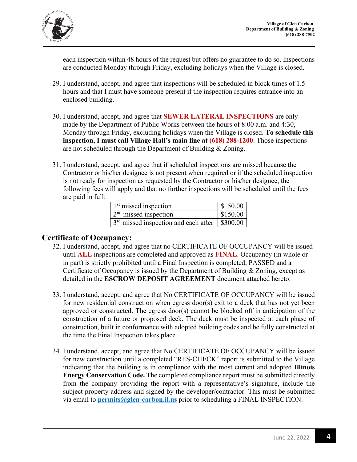

each inspection within 48 hours of the request but offers no guarantee to do so. Inspections are conducted Monday through Friday, excluding holidays when the Village is closed.

- 29. I understand, accept, and agree that inspections will be scheduled in block times of 1.5 hours and that I must have someone present if the inspection requires entrance into an enclosed building.
- 30. I understand, accept, and agree that **SEWER LATERAL INSPECTIONS** are only made by the Department of Public Works between the hours of 8:00 a.m. and 4:30, Monday through Friday, excluding holidays when the Village is closed. **To schedule this inspection, I must call Village Hall's main line at (618) 288-1200**. Those inspections are not scheduled through the Department of Building & Zoning.
- 31. I understand, accept, and agree that if scheduled inspections are missed because the Contractor or his/her designee is not present when required or if the scheduled inspection is not ready for inspection as requested by the Contractor or his/her designee, the following fees will apply and that no further inspections will be scheduled until the fees are paid in full:

| $1st$ missed inspection                           | \$50.00  |
|---------------------------------------------------|----------|
| $2nd$ missed inspection                           | \$150.00 |
| $3rd$ missed inspection and each after   \$300.00 |          |

#### **Certificate of Occupancy:**

- 32. I understand, accept, and agree that no CERTIFICATE OF OCCUPANCY will be issued until **ALL** inspections are completed and approved as **FINAL**. Occupancy (in whole or in part) is strictly prohibited until a Final Inspection is completed, PASSED and a Certificate of Occupancy is issued by the Department of Building & Zoning, except as detailed in the **ESCROW DEPOSIT AGREEMENT** document attached hereto.
- 33. I understand, accept, and agree that No CERTIFICATE OF OCCUPANCY will be issued for new residential construction when egress door(s) exit to a deck that has not yet been approved or constructed. The egress door(s) cannot be blocked off in anticipation of the construction of a future or proposed deck. The deck must be inspected at each phase of construction, built in conformance with adopted building codes and be fully constructed at the time the Final Inspection takes place.
- 34. I understand, accept, and agree that No CERTIFICATE OF OCCUPANCY will be issued for new construction until a completed "RES-CHECK" report is submitted to the Village indicating that the building is in compliance with the most current and adopted **Illinois Energy Conservation Code.** The completed compliance report must be submitted directly from the company providing the report with a representative's signature, include the subject property address and signed by the developer/contractor. This must be submitted via email to **[permits@glen-carbon.il.us](mailto:permits@glen-carbon.il.us)** prior to scheduling a FINAL INSPECTION.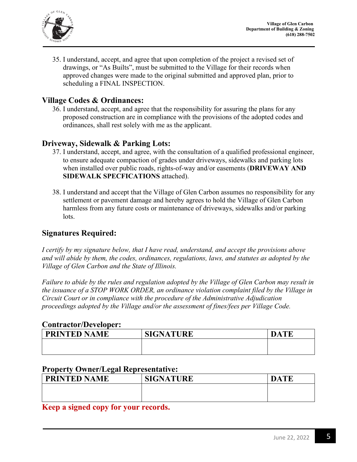

35. I understand, accept, and agree that upon completion of the project a revised set of drawings, or "As Builts", must be submitted to the Village for their records when approved changes were made to the original submitted and approved plan, prior to scheduling a FINAL INSPECTION.

#### **Village Codes & Ordinances:**

36. I understand, accept, and agree that the responsibility for assuring the plans for any proposed construction are in compliance with the provisions of the adopted codes and ordinances, shall rest solely with me as the applicant.

#### **Driveway, Sidewalk & Parking Lots:**

- 37. I understand, accept, and agree, with the consultation of a qualified professional engineer, to ensure adequate compaction of grades under driveways, sidewalks and parking lots when installed over public roads, rights-of-way and/or easements (**DRIVEWAY AND SIDEWALK SPECFICATIONS** attached).
- 38. I understand and accept that the Village of Glen Carbon assumes no responsibility for any settlement or pavement damage and hereby agrees to hold the Village of Glen Carbon harmless from any future costs or maintenance of driveways, sidewalks and/or parking lots.

#### **Signatures Required:**

*I certify by my signature below, that I have read, understand, and accept the provisions above and will abide by them, the codes, ordinances, regulations, laws, and statutes as adopted by the Village of Glen Carbon and the State of Illinois.* 

*Failure to abide by the rules and regulation adopted by the Village of Glen Carbon may result in the issuance of a STOP WORK ORDER, an ordinance violation complaint filed by the Village in Circuit Court or in compliance with the procedure of the Administrative Adjudication proceedings adopted by the Village and/or the assessment of fines/fees per Village Code.* 

#### **Contractor/Developer:**

| <b>PRINTED N.</b><br><b>ME</b><br>$\lambda$ | SIGNATURE | <b>TIME</b> |
|---------------------------------------------|-----------|-------------|
|                                             |           |             |
|                                             |           |             |

#### **Property Owner/Legal Representative:**

| <b>PRINTED NAME</b> | <b>SIGNATURE</b> | <b>DATE</b> |
|---------------------|------------------|-------------|
|                     |                  |             |
|                     |                  |             |
| $-$<br>$\sqrt{2}$   |                  |             |

**Keep a signed copy for your records.**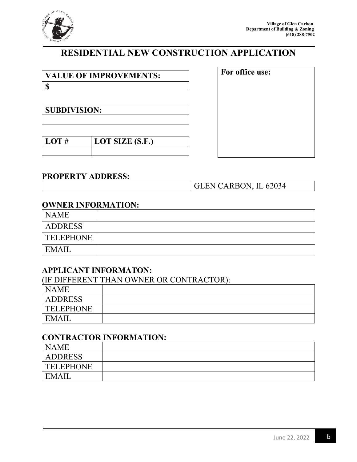

## **RESIDENTIAL NEW CONSTRUCTION APPLICATION**

**VALUE OF IMPROVEMENTS: \$**

**SUBDIVISION:**

| $1.0$ T $#$ | <b>LOT SIZE (S.F.)</b> |
|-------------|------------------------|
|             |                        |

#### **PROPERTY ADDRESS:**

GLEN CARBON, IL 62034

**For office use:**

#### **OWNER INFORMATION:**

| <b>NAME</b>      |  |
|------------------|--|
| <b>ADDRESS</b>   |  |
| <b>TELEPHONE</b> |  |
| <b>EMAIL</b>     |  |

#### **APPLICANT INFORMATON:**

| (IF DIFFERENT THAN OWNER OR CONTRACTOR): |  |  |
|------------------------------------------|--|--|
| <b>NAME</b>                              |  |  |
| ADDRESS                                  |  |  |
| <b>TELEPHONE</b>                         |  |  |
| EMAII                                    |  |  |

#### **CONTRACTOR INFORMATION:**

| <b>NAME</b>      |  |
|------------------|--|
| <b>ADDRESS</b>   |  |
| <b>TELEPHONE</b> |  |
| EMAIL            |  |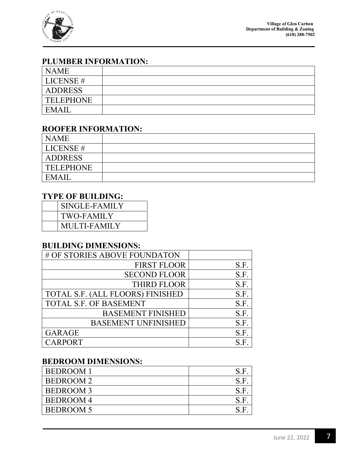

#### **PLUMBER INFORMATION:**

| <b>NAME</b>    |  |
|----------------|--|
| LICENSE #      |  |
| <b>ADDRESS</b> |  |
| TELEPHONE      |  |
| EMAIL          |  |

#### **ROOFER INFORMATION:**

| <b>NAME</b>      |  |
|------------------|--|
| LICENSE #        |  |
| <b>ADDRESS</b>   |  |
| <b>TELEPHONE</b> |  |
| EMAIL            |  |

#### **TYPE OF BUILDING:**

| SINGLE-FAMILY     |
|-------------------|
| <b>TWO-FAMILY</b> |
| MULTI-FAMILY      |

#### **BUILDING DIMENSIONS:**

| # OF STORIES ABOVE FOUNDATON     |      |
|----------------------------------|------|
| <b>FIRST FLOOR</b>               | S.F. |
| <b>SECOND FLOOR</b>              | S.F. |
| <b>THIRD FLOOR</b>               | S.F. |
| TOTAL S.F. (ALL FLOORS) FINISHED | S.F. |
| <b>TOTAL S.F. OF BASEMENT</b>    | S.F. |
| <b>BASEMENT FINISHED</b>         | S.F. |
| <b>BASEMENT UNFINISHED</b>       | S.F. |
| <b>GARAGE</b>                    | S.F. |
| <b>CARPORT</b>                   | S F  |

#### **BEDROOM DIMENSIONS:**

| <b>BEDROOM1</b>  | S.F |
|------------------|-----|
| <b>BEDROOM2</b>  | S F |
| <b>BEDROOM3</b>  | S.F |
| <b>BEDROOM4</b>  | S F |
| <b>BEDROOM 5</b> | S F |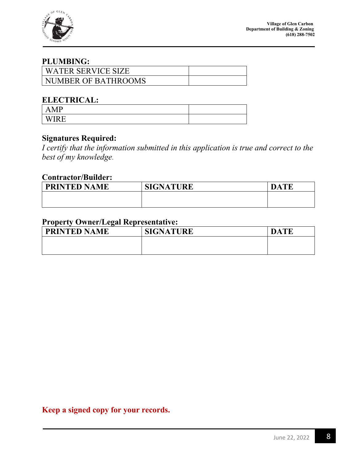

#### **PLUMBING:**

| WATER SERVICE SIZE  |  |
|---------------------|--|
| NUMBER OF BATHROOMS |  |

#### **ELECTRICAL:**

| _______                        |  |
|--------------------------------|--|
| <b>MP</b><br>$\mathbf{r}$<br>. |  |
| $\mathbf{X}$<br>►              |  |

#### **Signatures Required:**

*I certify that the information submitted in this application is true and correct to the best of my knowledge*.

#### **Contractor/Builder:**

| <b>PRINTED N</b><br>AME | SIGNATURE | <b>TE</b><br>$\mathbf{D}_{\ell}$<br>A |
|-------------------------|-----------|---------------------------------------|
|                         |           |                                       |
|                         |           |                                       |

#### **Property Owner/Legal Representative:**

| <b>PRINTED NAME</b> | <b>SIGNATURE</b> | Δ |
|---------------------|------------------|---|
|                     |                  |   |
|                     |                  |   |

**Keep a signed copy for your records.**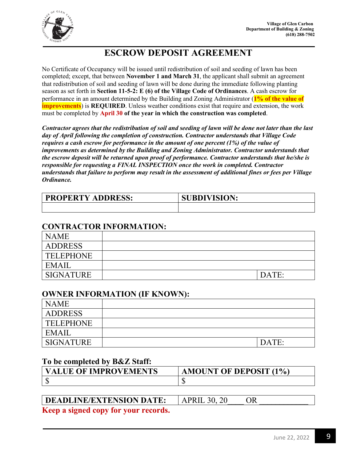

#### **ESCROW DEPOSIT AGREEMENT**

No Certificate of Occupancy will be issued until redistribution of soil and seeding of lawn has been completed; except, that between **November 1 and March 31**, the applicant shall submit an agreement that redistribution of soil and seeding of lawn will be done during the immediate following planting season as set forth in **Section 11-5-2: E (6) of the Village Code of Ordinances**. A cash escrow for performance in an amount determined by the Building and Zoning Administrator (**1% of the value of improvements**) is **REQUIRED**. Unless weather conditions exist that require and extension, the work must be completed by **April 30 of the year in which the construction was completed**.

*Contractor agrees that the redistribution of soil and seeding of lawn will be done not later than the last day of April following the completion of construction. Contractor understands that Village Code requires a cash escrow for performance in the amount of one percent (1%) of the value of improvements as determined by the Building and Zoning Administrator. Contractor understands that the escrow deposit will be returned upon proof of performance. Contractor understands that he/she is responsible for requesting a FINAL INSPECTION once the work in completed. Contractor understands that failure to perform may result in the assessment of additional fines or fees per Village Ordinance.* 

| <b>PROPERTY ADDRESS:</b> | <b>SUBDIVISION:</b> |
|--------------------------|---------------------|
|                          |                     |

#### **CONTRACTOR INFORMATION:**

| <b>NAME</b>      |       |
|------------------|-------|
| <b>ADDRESS</b>   |       |
| <b>TELEPHONE</b> |       |
| EMAIL            |       |
| <b>SIGNATURE</b> | DATE: |

#### **OWNER INFORMATION (IF KNOWN):**

| <b>NAME</b>      |       |
|------------------|-------|
| <b>ADDRESS</b>   |       |
| <b>TELEPHONE</b> |       |
| EMAIL            |       |
| <b>SIGNATURE</b> | DATE: |

#### **To be completed by B&Z Staff:**

| <b>VALUE OF IMPROVEMENTS</b> | <b>AMOUNT OF DEPOSIT (1%)</b> |
|------------------------------|-------------------------------|
|                              |                               |

## **DEADLINE/EXTENSION DATE:** APRIL 30, 20 OR

**Keep a signed copy for your records.**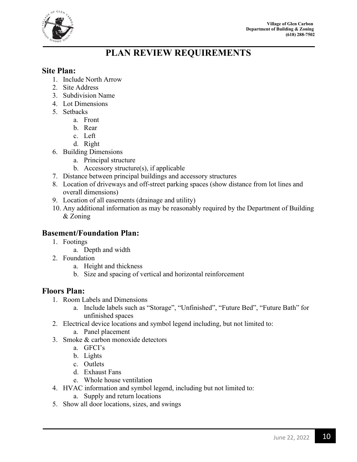

### **PLAN REVIEW REQUIREMENTS**

#### **Site Plan:**

- 1. Include North Arrow
- 2. Site Address
- 3. Subdivision Name
- 4. Lot Dimensions
- 5. Setbacks
	- a. Front
	- b. Rear
	- c. Left
	- d. Right
- 6. Building Dimensions
	- a. Principal structure
	- b. Accessory structure $(s)$ , if applicable
- 7. Distance between principal buildings and accessory structures
- 8. Location of driveways and off-street parking spaces (show distance from lot lines and overall dimensions)
- 9. Location of all easements (drainage and utility)
- 10. Any additional information as may be reasonably required by the Department of Building & Zoning

#### **Basement/Foundation Plan:**

- 1. Footings
	- a. Depth and width
- 2. Foundation
	- a. Height and thickness
	- b. Size and spacing of vertical and horizontal reinforcement

#### **Floors Plan:**

- 1. Room Labels and Dimensions
	- a. Include labels such as "Storage", "Unfinished", "Future Bed", "Future Bath" for unfinished spaces
- 2. Electrical device locations and symbol legend including, but not limited to:
	- a. Panel placement
- 3. Smoke & carbon monoxide detectors
	- a. GFCI's
	- b. Lights
	- c. Outlets
	- d. Exhaust Fans
	- e. Whole house ventilation
- 4. HVAC information and symbol legend, including but not limited to:
	- a. Supply and return locations
- 5. Show all door locations, sizes, and swings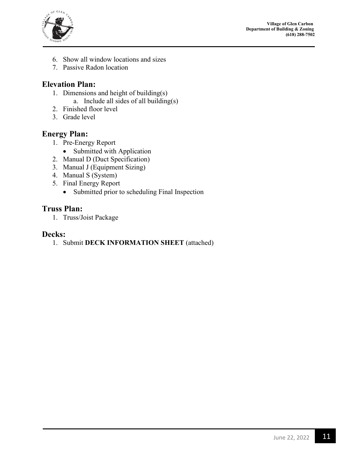

- 6. Show all window locations and sizes
- 7. Passive Radon location

#### **Elevation Plan:**

- 1. Dimensions and height of building(s)
	- a. Include all sides of all building(s)
- 2. Finished floor level
- 3. Grade level

#### **Energy Plan:**

- 1. Pre-Energy Report
	- Submitted with Application
- 2. Manual D (Duct Specification)
- 3. Manual J (Equipment Sizing)
- 4. Manual S (System)
- 5. Final Energy Report
	- Submitted prior to scheduling Final Inspection

#### **Truss Plan:**

1. Truss/Joist Package

#### **Decks:**

1. Submit **DECK INFORMATION SHEET** (attached)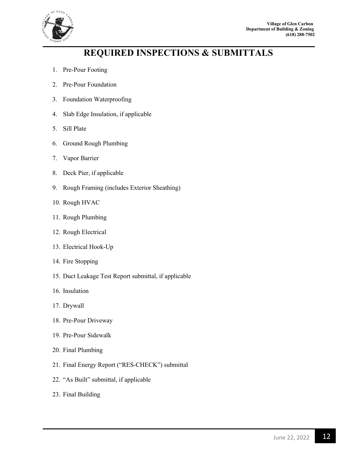

### **REQUIRED INSPECTIONS & SUBMITTALS**

- 1. Pre-Pour Footing
- 2. Pre-Pour Foundation
- 3. Foundation Waterproofing
- 4. Slab Edge Insulation, if applicable
- 5. Sill Plate
- 6. Ground Rough Plumbing
- 7. Vapor Barrier
- 8. Deck Pier, if applicable
- 9. Rough Framing (includes Exterior Sheathing)
- 10. Rough HVAC
- 11. Rough Plumbing
- 12. Rough Electrical
- 13. Electrical Hook-Up
- 14. Fire Stopping
- 15. Duct Leakage Test Report submittal, if applicable
- 16. Insulation
- 17. Drywall
- 18. Pre-Pour Driveway
- 19. Pre-Pour Sidewalk
- 20. Final Plumbing
- 21. Final Energy Report ("RES-CHECK") submittal
- 22. "As Built" submittal, if applicable
- 23. Final Building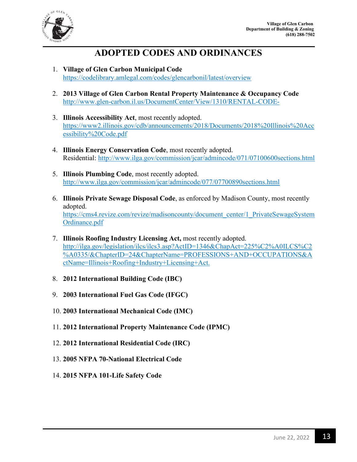

#### **ADOPTED CODES AND ORDINANCES**

- 1. **Village of Glen Carbon Municipal Code** <https://codelibrary.amlegal.com/codes/glencarbonil/latest/overview>
- 2. **2013 Village of Glen Carbon Rental Property Maintenance & Occupancy Code**  <http://www.glen-carbon.il.us/DocumentCenter/View/1310/RENTAL-CODE->
- 3. **Illinois Accessibility Act**, most recently adopted. [https://www2.illinois.gov/cdb/announcements/2018/Documents/2018%20Illinois%20Acc](https://www2.illinois.gov/cdb/announcements/2018/Documents/2018%20Illinois%20Accessibility%20Code.pdf) [essibility%20Code.pdf](https://www2.illinois.gov/cdb/announcements/2018/Documents/2018%20Illinois%20Accessibility%20Code.pdf)
- 4. **Illinois Energy Conservation Code**, most recently adopted. Residential:<http://www.ilga.gov/commission/jcar/admincode/071/07100600sections.html>
- 5. **Illinois Plumbing Code**, most recently adopted. <http://www.ilga.gov/commission/jcar/admincode/077/07700890sections.html>
- 6. **Illinois Private Sewage Disposal Code**, as enforced by Madison County, most recently adopted. https://cms4.revize.com/revize/madisoncounty/document\_center/1\_PrivateSewageSystem Ordinance.pdf
- 7. **Illinois Roofing Industry Licensing Act,** most recently adopted. [http://ilga.gov/legislation/ilcs/ilcs3.asp?ActID=1346&ChapAct=225%C2%A0ILCS%C2](http://ilga.gov/legislation/ilcs/ilcs3.asp?ActID=1346&ChapAct=225%C2%A0ILCS%C2%A0335/&ChapterID=24&ChapterName=PROFESSIONS+AND+OCCUPATIONS&ActName=Illinois+Roofing+Industry+Licensing+Act) [%A0335/&ChapterID=24&ChapterName=PROFESSIONS+AND+OCCUPATIONS&A](http://ilga.gov/legislation/ilcs/ilcs3.asp?ActID=1346&ChapAct=225%C2%A0ILCS%C2%A0335/&ChapterID=24&ChapterName=PROFESSIONS+AND+OCCUPATIONS&ActName=Illinois+Roofing+Industry+Licensing+Act) [ctName=Illinois+Roofing+Industry+Licensing+Act.](http://ilga.gov/legislation/ilcs/ilcs3.asp?ActID=1346&ChapAct=225%C2%A0ILCS%C2%A0335/&ChapterID=24&ChapterName=PROFESSIONS+AND+OCCUPATIONS&ActName=Illinois+Roofing+Industry+Licensing+Act)
- 8. **2012 International Building Code (IBC)**
- 9. **2003 International Fuel Gas Code (IFGC)**
- 10. **2003 International Mechanical Code (IMC)**
- 11. **2012 International Property Maintenance Code (IPMC)**
- 12. **2012 International Residential Code (IRC)**
- 13. **2005 NFPA 70-National Electrical Code**
- 14. **2015 NFPA 101-Life Safety Code**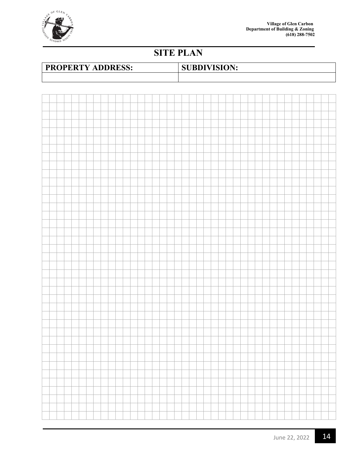

## **SITE PLAN**



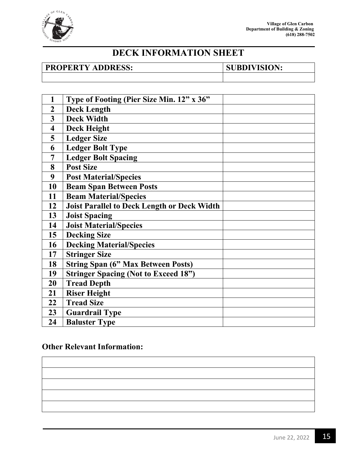

### **DECK INFORMATION SHEET**

#### **PROPERTY ADDRESS:** SUBDIVISION:

| 1                       | Type of Footing (Pier Size Min. 12" x 36"          |  |
|-------------------------|----------------------------------------------------|--|
| $\boldsymbol{2}$        | <b>Deck Length</b>                                 |  |
| 3                       | <b>Deck Width</b>                                  |  |
| $\overline{\mathbf{4}}$ | <b>Deck Height</b>                                 |  |
| 5                       | <b>Ledger Size</b>                                 |  |
| 6                       | <b>Ledger Bolt Type</b>                            |  |
| 7                       | <b>Ledger Bolt Spacing</b>                         |  |
| 8                       | <b>Post Size</b>                                   |  |
| 9                       | <b>Post Material/Species</b>                       |  |
| 10                      | <b>Beam Span Between Posts</b>                     |  |
| 11                      | <b>Beam Material/Species</b>                       |  |
| 12                      | <b>Joist Parallel to Deck Length or Deck Width</b> |  |
| 13                      | <b>Joist Spacing</b>                               |  |
| 14                      | <b>Joist Material/Species</b>                      |  |
| 15                      | <b>Decking Size</b>                                |  |
| 16                      | <b>Decking Material/Species</b>                    |  |
| 17                      | <b>Stringer Size</b>                               |  |
| 18                      | <b>String Span (6" Max Between Posts)</b>          |  |
| 19                      | <b>Stringer Spacing (Not to Exceed 18")</b>        |  |
| 20                      | <b>Tread Depth</b>                                 |  |
| 21                      | <b>Riser Height</b>                                |  |
| 22                      | <b>Tread Size</b>                                  |  |
| 23                      | <b>Guardrail Type</b>                              |  |
| 24                      | <b>Baluster Type</b>                               |  |

#### **Other Relevant Information:**